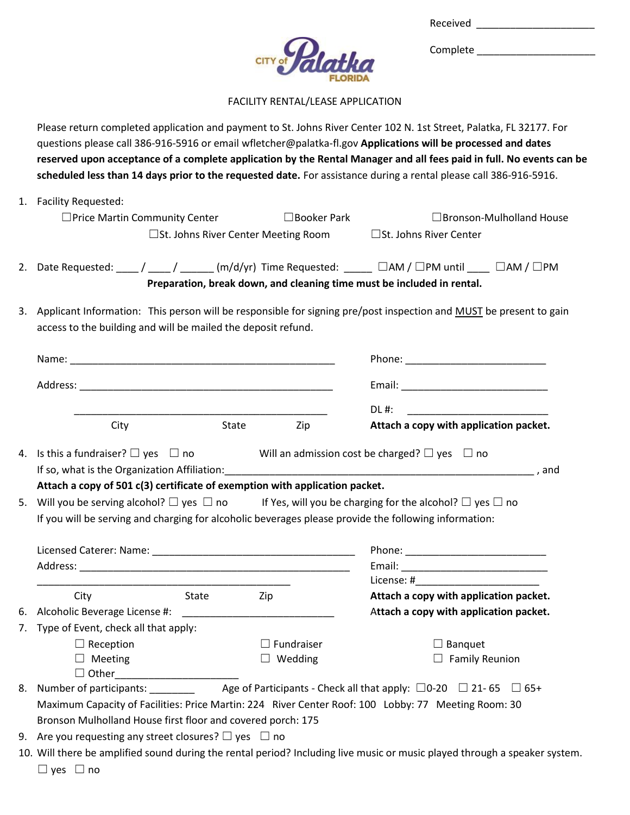| Received |  |
|----------|--|
|          |  |

Complete \_\_\_\_\_\_\_\_\_\_\_\_\_\_\_\_\_\_\_\_\_



FACILITY RENTAL/LEASE APPLICATION

Please return completed application and payment to St. Johns River Center 102 N. 1st Street, Palatka, FL 32177. For questions please call 386-916-5916 or email wfletcher@palatka-fl.gov **Applications will be processed and dates reserved upon acceptance of a complete application by the Rental Manager and all fees paid in full. No events can be scheduled less than 14 days prior to the requested date.** For assistance during a rental please call 386-916-5916.

|    | 1. Facility Requested:                                                                                                                                                               |                                               |                    |                                                                                                                                                                              |
|----|--------------------------------------------------------------------------------------------------------------------------------------------------------------------------------------|-----------------------------------------------|--------------------|------------------------------------------------------------------------------------------------------------------------------------------------------------------------------|
|    | $\Box$ Price Martin Community Center                                                                                                                                                 |                                               | $\Box$ Booker Park | $\Box$ Bronson-Mulholland House                                                                                                                                              |
|    |                                                                                                                                                                                      | $\square$ St. Johns River Center Meeting Room |                    | □St. Johns River Center                                                                                                                                                      |
|    |                                                                                                                                                                                      |                                               |                    | 2. Date Requested: ____/ ____/ _____ (m/d/yr) Time Requested: _____ □AM / □PM until ____ □AM / □PM<br>Preparation, break down, and cleaning time must be included in rental. |
|    | access to the building and will be mailed the deposit refund.                                                                                                                        |                                               |                    | 3. Applicant Information: This person will be responsible for signing pre/post inspection and MUST be present to gain                                                        |
|    |                                                                                                                                                                                      |                                               |                    |                                                                                                                                                                              |
|    |                                                                                                                                                                                      |                                               |                    |                                                                                                                                                                              |
|    |                                                                                                                                                                                      |                                               |                    | $DL$ #:                                                                                                                                                                      |
|    | City                                                                                                                                                                                 | State                                         | Zip                | Attach a copy with application packet.                                                                                                                                       |
|    | 4. Is this a fundraiser? $\Box$ yes $\Box$ no Will an admission cost be charged? $\Box$ yes $\Box$ no                                                                                |                                               |                    |                                                                                                                                                                              |
| 5. | Attach a copy of 501 c(3) certificate of exemption with application packet.<br>If you will be serving and charging for alcoholic beverages please provide the following information: |                                               |                    | Will you be serving alcohol? $\Box$ yes $\Box$ no If Yes, will you be charging for the alcohol? $\Box$ yes $\Box$ no                                                         |
|    |                                                                                                                                                                                      |                                               |                    |                                                                                                                                                                              |
|    |                                                                                                                                                                                      |                                               |                    |                                                                                                                                                                              |
|    |                                                                                                                                                                                      |                                               |                    |                                                                                                                                                                              |
|    | <b>Example 21 State</b><br>City                                                                                                                                                      | Zip                                           |                    | Attach a copy with application packet.                                                                                                                                       |
|    |                                                                                                                                                                                      |                                               |                    | Attach a copy with application packet.                                                                                                                                       |
| 7. | Type of Event, check all that apply:                                                                                                                                                 |                                               |                    |                                                                                                                                                                              |
|    | $\Box$ Reception                                                                                                                                                                     |                                               | $\Box$ Fundraiser  | $\Box$ Banquet                                                                                                                                                               |
|    | $\Box$ Meeting                                                                                                                                                                       |                                               | $\Box$ Wedding     | $\Box$ Family Reunion                                                                                                                                                        |
|    | $\Box$ Other                                                                                                                                                                         |                                               |                    |                                                                                                                                                                              |
| 8. |                                                                                                                                                                                      |                                               |                    |                                                                                                                                                                              |
|    |                                                                                                                                                                                      |                                               |                    | Maximum Capacity of Facilities: Price Martin: 224 River Center Roof: 100 Lobby: 77 Meeting Room: 30                                                                          |
| 9. | Bronson Mulholland House first floor and covered porch: 175<br>Are you requesting any street closures? $\Box$ yes $\Box$ no                                                          |                                               |                    |                                                                                                                                                                              |

- 10. Will there be amplified sound during the rental period? Including live music or music played through a speaker system.
	- ☐ yes ☐ no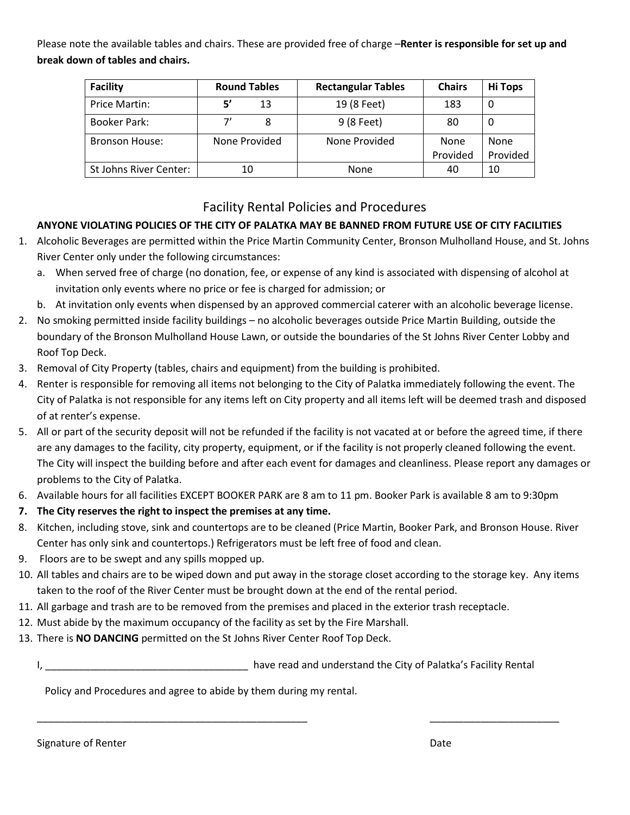Please note the available tables and chairs. These are provided free of charge –**Renter is responsible for set up and break down of tables and chairs.**

| <b>Facility</b>        | <b>Round Tables</b> | <b>Rectangular Tables</b> | <b>Chairs</b> | <b>Hi Tops</b> |
|------------------------|---------------------|---------------------------|---------------|----------------|
| Price Martin:          | 51<br>13            | 19 (8 Feet)               | 183           | 0              |
| Booker Park:           | 8                   | 9 (8 Feet)                | 80            | U              |
| <b>Bronson House:</b>  | None Provided       | None Provided             | None          | None           |
|                        |                     |                           | Provided      | Provided       |
| St Johns River Center: | 10                  | None                      | 40            | 10             |

## Facility Rental Policies and Procedures

## **ANYONE VIOLATING POLICIES OF THE CITY OF PALATKA MAY BE BANNED FROM FUTURE USE OF CITY FACILITIES**

- 1. Alcoholic Beverages are permitted within the Price Martin Community Center, Bronson Mulholland House, and St. Johns River Center only under the following circumstances:
	- a. When served free of charge (no donation, fee, or expense of any kind is associated with dispensing of alcohol at invitation only events where no price or fee is charged for admission; or
	- b. At invitation only events when dispensed by an approved commercial caterer with an alcoholic beverage license.
- 2. No smoking permitted inside facility buildings no alcoholic beverages outside Price Martin Building, outside the boundary of the Bronson Mulholland House Lawn, or outside the boundaries of the St Johns River Center Lobby and Roof Top Deck.
- 3. Removal of City Property (tables, chairs and equipment) from the building is prohibited.
- 4. Renter is responsible for removing all items not belonging to the City of Palatka immediately following the event. The City of Palatka is not responsible for any items left on City property and all items left will be deemed trash and disposed of at renter's expense.
- 5. All or part of the security deposit will not be refunded if the facility is not vacated at or before the agreed time, if there are any damages to the facility, city property, equipment, or if the facility is not properly cleaned following the event. The City will inspect the building before and after each event for damages and cleanliness. Please report any damages or problems to the City of Palatka.
- 6. Available hours for all facilities EXCEPT BOOKER PARK are 8 am to 11 pm. Booker Park is available 8 am to 9:30pm
- **7. The City reserves the right to inspect the premises at any time.**
- 8. Kitchen, including stove, sink and countertops are to be cleaned (Price Martin, Booker Park, and Bronson House. River Center has only sink and countertops.) Refrigerators must be left free of food and clean.
- 9. Floors are to be swept and any spills mopped up.
- 10. All tables and chairs are to be wiped down and put away in the storage closet according to the storage key. Any items taken to the roof of the River Center must be brought down at the end of the rental period.
- 11. All garbage and trash are to be removed from the premises and placed in the exterior trash receptacle.
- 12. Must abide by the maximum occupancy of the facility as set by the Fire Marshall.
- 13. There is **NO DANCING** permitted on the St Johns River Center Roof Top Deck.
	- I, \_\_\_\_\_\_\_\_\_\_\_\_\_\_\_\_\_\_\_\_\_\_\_\_\_\_\_\_\_\_\_\_\_\_\_\_ have read and understand the City of Palatka's Facility Rental

\_\_\_\_\_\_\_\_\_\_\_\_\_\_\_\_\_\_\_\_\_\_\_\_\_\_\_\_\_\_\_\_\_\_\_\_\_\_\_\_\_\_\_\_\_\_\_\_ \_\_\_\_\_\_\_\_\_\_\_\_\_\_\_\_\_\_\_\_\_\_\_

Policy and Procedures and agree to abide by them during my rental.

Signature of Renter Date Date of Renter All Control of American Control of Control of American Control of Control of American Control of Control of American Control of Control of American Control of Control of American Con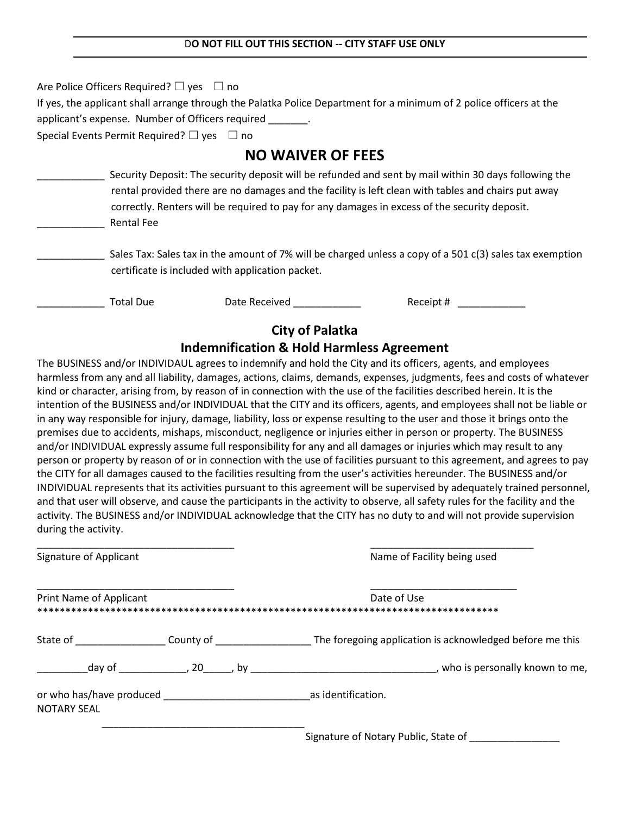Are Police Officers Required?  $\Box$  yes  $\Box$  no If yes, the applicant shall arrange through the Palatka Police Department for a minimum of 2 police officers at the applicant's expense. Number of Officers required Special Events Permit Required?  $\Box$  yes  $\Box$  no **NO WAIVER OF FEES** Security Deposit: The security deposit will be refunded and sent by mail within 30 days following the rental provided there are no damages and the facility is left clean with tables and chairs put away correctly. Renters will be required to pay for any damages in excess of the security deposit. \_\_\_\_\_\_\_\_\_\_\_\_ Rental Fee

Sales Tax: Sales tax in the amount of 7% will be charged unless a copy of a 501 c(3) sales tax exemption certificate is included with application packet.

Total Due Date Received \_\_\_\_\_\_\_\_\_\_\_\_\_\_\_ Receipt # \_\_\_\_\_\_\_\_\_\_\_\_

## **City of Palatka**

## **Indemnification & Hold Harmless Agreement**

The BUSINESS and/or INDIVIDAUL agrees to indemnify and hold the City and its officers, agents, and employees harmless from any and all liability, damages, actions, claims, demands, expenses, judgments, fees and costs of whatever kind or character, arising from, by reason of in connection with the use of the facilities described herein. It is the intention of the BUSINESS and/or INDIVIDUAL that the CITY and its officers, agents, and employees shall not be liable or in any way responsible for injury, damage, liability, loss or expense resulting to the user and those it brings onto the premises due to accidents, mishaps, misconduct, negligence or injuries either in person or property. The BUSINESS and/or INDIVIDUAL expressly assume full responsibility for any and all damages or injuries which may result to any person or property by reason of or in connection with the use of facilities pursuant to this agreement, and agrees to pay the CITY for all damages caused to the facilities resulting from the user's activities hereunder. The BUSINESS and/or INDIVIDUAL represents that its activities pursuant to this agreement will be supervised by adequately trained personnel, and that user will observe, and cause the participants in the activity to observe, all safety rules for the facility and the activity. The BUSINESS and/or INDIVIDUAL acknowledge that the CITY has no duty to and will not provide supervision during the activity.

| Signature of Applicant  |                                                                                                                 |  | Name of Facility being used                                                                                                                                                                   |
|-------------------------|-----------------------------------------------------------------------------------------------------------------|--|-----------------------------------------------------------------------------------------------------------------------------------------------------------------------------------------------|
| Print Name of Applicant |                                                                                                                 |  | Date of Use                                                                                                                                                                                   |
|                         |                                                                                                                 |  | State of State of County of State of State of County of State of State of State of State of State of State and County of State 1 and The foregoing application is acknowledged before me this |
|                         | day of the set of the set of the set of the set of the set of the set of the set of the set of the set of the s |  | who is personally known to me,                                                                                                                                                                |
| <b>NOTARY SEAL</b>      |                                                                                                                 |  | as identification.                                                                                                                                                                            |
|                         |                                                                                                                 |  | $\sim$ $\sim$ $\sim$ $\sim$ $\sim$ $\sim$ $\sim$                                                                                                                                              |

Signature of Notary Public, State of \_\_\_\_\_\_\_\_\_\_\_\_\_\_\_\_